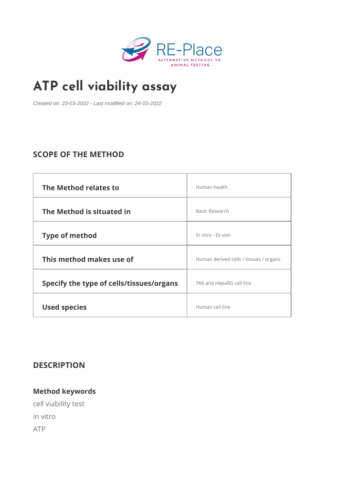# [ATP cell viabili](https://www.re-place.be/method/atp-cell-viability-assay)ty assay

Created on: 23-03-2022 - Last modified on: 24-03-2022

# SCOPE OF THE METHOD

| The Method relates to                                    | Human health                           |  |
|----------------------------------------------------------|----------------------------------------|--|
| The Method is situated in                                | Basic Research                         |  |
| Type of method                                           | In vitro - Ex vivo                     |  |
| This method makes use of                                 | Human derived cells / tissues / organs |  |
| Specify the type of cells/tissue SpengalnisaRG cell line |                                        |  |
| Used species                                             | Human cell line                        |  |

DESCRIPTION

Method keywords cell viability test in vitro ATP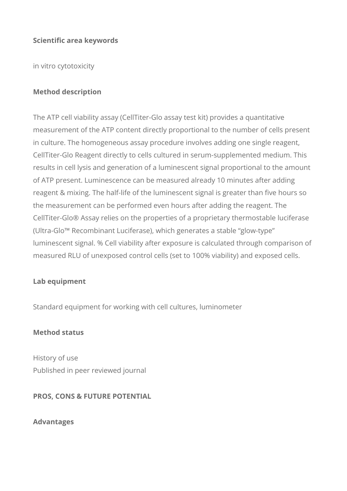### **Scientific area keywords**

in vitro cytotoxicity

### **Method description**

The ATP cell viability assay (CellTiter-Glo assay test kit) provides a quantitative measurement of the ATP content directly proportional to the number of cells present in culture. The homogeneous assay procedure involves adding one single reagent, CellTiter-Glo Reagent directly to cells cultured in serum-supplemented medium. This results in cell lysis and generation of a luminescent signal proportional to the amount of ATP present. Luminescence can be measured already 10 minutes after adding reagent & mixing. The half-life of the luminescent signal is greater than five hours so the measurement can be performed even hours after adding the reagent. The CellTiter-Glo® Assay relies on the properties of a proprietary thermostable luciferase (Ultra-Glo™ Recombinant Luciferase), which generates a stable "glow-type" luminescent signal. % Cell viability after exposure is calculated through comparison of measured RLU of unexposed control cells (set to 100% viability) and exposed cells.

#### **Lab equipment**

Standard equipment for working with cell cultures, luminometer

#### **Method status**

History of use Published in peer reviewed journal

## **PROS, CONS & FUTURE POTENTIAL**

**Advantages**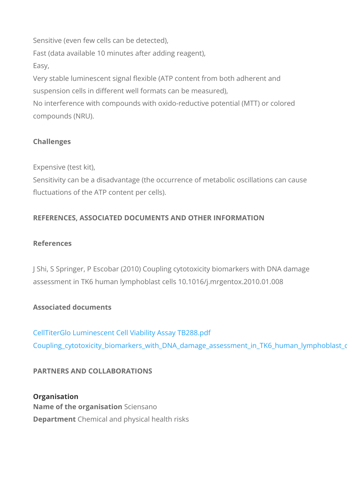Sensitive (even few cells can be detected), Fast (data available 10 minutes after adding reagent), Easy, Very stable luminescent signal flexible (ATP content from both suspension cells in different well formats can be measured), No interference with compounds with oxido-reductive potential compounds (NRU).

Challenges

Expensive (test kit),

Sensitivity can be a disadvantage (the occurrence of metabolic fluctuations of the ATP content per cells).

REFERENCES, ASSOCIATED DOCUMENTS AND OTHER INFORM

References

J Shi, S Springer, P Escobar (2010) Coupling cytotoxicity biom assessment in TK6 human lymphoblast cells 10.1016/j.mrgento.

Associated documents

[CellTiterGlo Luminescent Cell Viabi](https://www.re-place.be/sites/default/files/CellTiterGlo Luminescent Cell Viability Assay TB288.pdf)lity Assay TB288.pdf Coupling\_cytotoxicity\_biomarkers\_with\_DNA\_damage\_assessme

PARTNERS AND COLLABORATIONS

Organisation Name of the organ Sscaitein sano Departme@hemical and physical health risks